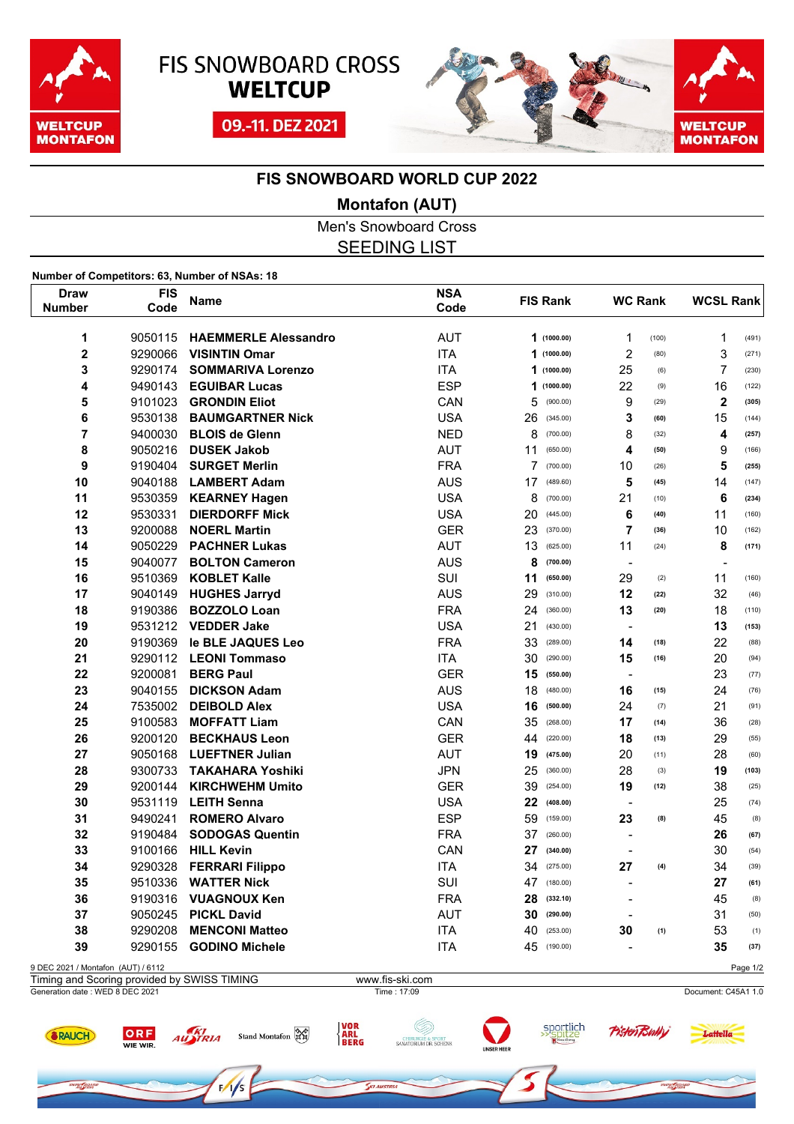





## **FIS SNOWBOARD WORLD CUP 2022**

#### **Montafon (AUT)**

Men's Snowboard Cross SEEDING LIST

#### **Number of Competitors: 63, Number of NSAs: 18**

ORF

WIE WIR.

RAUCH

**REFAQAR** 

AUSTRIA

| <b>FIS</b><br>Draw                 |         | <b>Name</b>                 | <b>NSA</b> | <b>FIS Rank</b> | <b>WC Rank</b>           |       | <b>WCSL Rank</b> |          |
|------------------------------------|---------|-----------------------------|------------|-----------------|--------------------------|-------|------------------|----------|
| <b>Number</b>                      | Code    |                             | Code       |                 |                          |       |                  |          |
| 1                                  | 9050115 | <b>HAEMMERLE Alessandro</b> | <b>AUT</b> | 1(1000.00)      | 1                        | (100) | $\mathbf{1}$     | (491)    |
| $\overline{\mathbf{2}}$            | 9290066 | <b>VISINTIN Omar</b>        | <b>ITA</b> | 1(1000.00)      | $\overline{c}$           | (80)  | 3                | (271)    |
| 3                                  | 9290174 | <b>SOMMARIVA Lorenzo</b>    | <b>ITA</b> | 1<br>(1000.00)  | 25                       | (6)   | $\overline{7}$   | (230)    |
| 4                                  | 9490143 | <b>EGUIBAR Lucas</b>        | <b>ESP</b> | 1<br>(1000.00)  | 22                       | (9)   | 16               | (122)    |
| 5                                  | 9101023 | <b>GRONDIN Eliot</b>        | CAN        | 5<br>(900.00)   | 9                        | (29)  | $\boldsymbol{2}$ | (305)    |
| 6                                  | 9530138 | <b>BAUMGARTNER Nick</b>     | <b>USA</b> | 26<br>(345.00)  | 3                        | (60)  | 15               | (144)    |
| 7                                  | 9400030 | <b>BLOIS de Glenn</b>       | <b>NED</b> | 8<br>(700.00)   | 8                        | (32)  | 4                | (257)    |
| 8                                  | 9050216 | <b>DUSEK Jakob</b>          | <b>AUT</b> | 11<br>(650.00)  | 4                        | (50)  | 9                | (166)    |
| 9                                  | 9190404 | <b>SURGET Merlin</b>        | <b>FRA</b> | 7<br>(700.00)   | 10                       | (26)  | 5                | (255)    |
| 10                                 | 9040188 | <b>LAMBERT Adam</b>         | <b>AUS</b> | 17<br>(489.60)  | 5                        | (45)  | 14               | (147)    |
| 11                                 | 9530359 | <b>KEARNEY Hagen</b>        | <b>USA</b> | 8<br>(700.00)   | 21                       | (10)  | 6                | (234)    |
| 12                                 | 9530331 | <b>DIERDORFF Mick</b>       | <b>USA</b> | 20<br>(445.00)  | 6                        | (40)  | 11               | (160)    |
| 13                                 | 9200088 | <b>NOERL Martin</b>         | <b>GER</b> | 23<br>(370.00)  | 7                        | (36)  | 10               | (162)    |
| 14                                 | 9050229 | <b>PACHNER Lukas</b>        | <b>AUT</b> | 13<br>(625.00)  | 11                       | (24)  | 8                | (171)    |
| 15                                 | 9040077 | <b>BOLTON Cameron</b>       | <b>AUS</b> | 8<br>(700.00)   | $\blacksquare$           |       |                  |          |
| 16                                 | 9510369 | <b>KOBLET Kalle</b>         | <b>SUI</b> | 11<br>(650.00)  | 29                       | (2)   | 11               | (160)    |
| 17                                 | 9040149 | <b>HUGHES Jarryd</b>        | <b>AUS</b> | 29<br>(310.00)  | 12                       | (22)  | 32               | (46)     |
| 18                                 | 9190386 | <b>BOZZOLO Loan</b>         | <b>FRA</b> | 24<br>(360.00)  | 13                       | (20)  | 18               | (110)    |
| 19                                 | 9531212 | <b>VEDDER Jake</b>          | <b>USA</b> | 21<br>(430.00)  | $\hbox{\small -}$        |       | 13               | (153)    |
| 20                                 | 9190369 | le BLE JAQUES Leo           | <b>FRA</b> | 33<br>(289.00)  | 14                       | (18)  | 22               | (88)     |
| 21                                 | 9290112 | <b>LEONI Tommaso</b>        | <b>ITA</b> | 30<br>(290.00)  | 15                       | (16)  | 20               | (94)     |
| 22                                 | 9200081 | <b>BERG Paul</b>            | <b>GER</b> | 15<br>(550.00)  | $\hbox{\small -}$        |       | 23               | (77)     |
| 23                                 | 9040155 | <b>DICKSON Adam</b>         | <b>AUS</b> | 18<br>(480.00)  | 16                       | (15)  | 24               | (76)     |
| 24                                 | 7535002 | <b>DEIBOLD Alex</b>         | <b>USA</b> | 16<br>(500.00)  | 24                       | (7)   | 21               | (91)     |
| 25                                 | 9100583 | <b>MOFFATT Liam</b>         | CAN        | 35<br>(268.00)  | 17                       | (14)  | 36               | (28)     |
| 26                                 | 9200120 | <b>BECKHAUS Leon</b>        | <b>GER</b> | 44<br>(220.00)  | 18                       | (13)  | 29               | (55)     |
| 27                                 | 9050168 | <b>LUEFTNER Julian</b>      | <b>AUT</b> | 19<br>(475.00)  | 20                       | (11)  | 28               | (60)     |
| 28                                 | 9300733 | <b>TAKAHARA Yoshiki</b>     | <b>JPN</b> | 25<br>(360.00)  | 28                       | (3)   | 19               | (103)    |
| 29                                 | 9200144 | <b>KIRCHWEHM Umito</b>      | <b>GER</b> | 39<br>(254.00)  | 19                       | (12)  | 38               | (25)     |
| 30                                 | 9531119 | <b>LEITH Senna</b>          | <b>USA</b> | 22<br>(408.00)  | $\overline{\phantom{a}}$ |       | 25               | (74)     |
| 31                                 | 9490241 | <b>ROMERO Alvaro</b>        | <b>ESP</b> | 59<br>(159.00)  | 23                       | (8)   | 45               | (8)      |
| 32                                 | 9190484 | <b>SODOGAS Quentin</b>      | <b>FRA</b> | 37<br>(260.00)  | $\blacksquare$           |       | 26               | (67)     |
| 33                                 | 9100166 | <b>HILL Kevin</b>           | CAN        | 27<br>(340.00)  | $\overline{a}$           |       | 30               | (54)     |
| 34                                 | 9290328 | <b>FERRARI Filippo</b>      | <b>ITA</b> | 34<br>(275.00)  | 27                       | (4)   | 34               | (39)     |
| 35                                 | 9510336 | <b>WATTER Nick</b>          | SUI        | 47<br>(180.00)  | $\overline{a}$           |       | 27               | (61)     |
| 36                                 | 9190316 | <b>VUAGNOUX Ken</b>         | <b>FRA</b> | 28<br>(332.10)  | $\overline{\phantom{a}}$ |       | 45               | (8)      |
| 37                                 | 9050245 | <b>PICKL David</b>          | <b>AUT</b> | 30<br>(290.00)  | $\overline{\phantom{a}}$ |       | 31               | (50)     |
| 38                                 | 9290208 | <b>MENCONI Matteo</b>       | <b>ITA</b> | 40<br>(253.00)  | 30                       | (1)   | 53               | (1)      |
| 39                                 | 9290155 | <b>GODINO Michele</b>       | <b>ITA</b> | 45<br>(190.00)  |                          |       | 35               | (37)     |
| 9 DEC 2021 / Montafon (AUT) / 6112 |         |                             |            |                 |                          |       |                  | Page 1/2 |

# Generation date : WED 8 DEC 2021 Time : 17:09 Document: C45A1 1.0 Timing and Scoring provided by SWISS TIMING www.fis-ski.com

Stand Montafon RE







ow fao